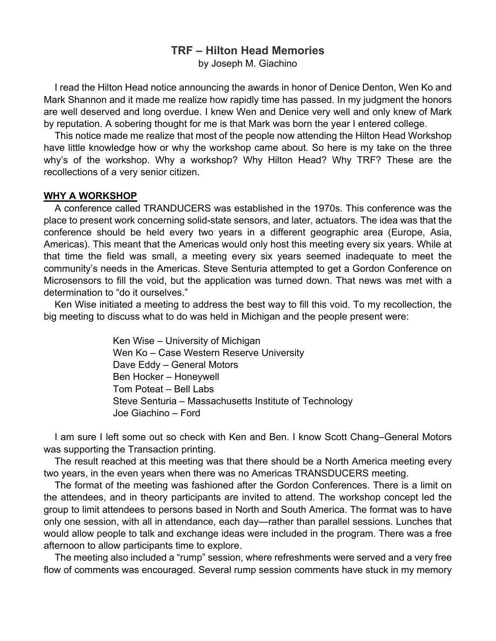# **TRF – Hilton Head Memories**

by Joseph M. Giachino

I read the Hilton Head notice announcing the awards in honor of Denice Denton, Wen Ko and Mark Shannon and it made me realize how rapidly time has passed. In my judgment the honors are well deserved and long overdue. I knew Wen and Denice very well and only knew of Mark by reputation. A sobering thought for me is that Mark was born the year I entered college.

This notice made me realize that most of the people now attending the Hilton Head Workshop have little knowledge how or why the workshop came about. So here is my take on the three why's of the workshop. Why a workshop? Why Hilton Head? Why TRF? These are the recollections of a very senior citizen.

## **WHY A WORKSHOP**

A conference called TRANDUCERS was established in the 1970s. This conference was the place to present work concerning solid-state sensors, and later, actuators. The idea was that the conference should be held every two years in a different geographic area (Europe, Asia, Americas). This meant that the Americas would only host this meeting every six years. While at that time the field was small, a meeting every six years seemed inadequate to meet the community's needs in the Americas. Steve Senturia attempted to get a Gordon Conference on Microsensors to fill the void, but the application was turned down. That news was met with a determination to "do it ourselves."

Ken Wise initiated a meeting to address the best way to fill this void. To my recollection, the big meeting to discuss what to do was held in Michigan and the people present were:

> Ken Wise – University of Michigan Wen Ko – Case Western Reserve University Dave Eddy – General Motors Ben Hocker – Honeywell Tom Poteat – Bell Labs Steve Senturia – Massachusetts Institute of Technology Joe Giachino – Ford

I am sure I left some out so check with Ken and Ben. I know Scott Chang–General Motors was supporting the Transaction printing.

The result reached at this meeting was that there should be a North America meeting every two years, in the even years when there was no Americas TRANSDUCERS meeting.

The format of the meeting was fashioned after the Gordon Conferences. There is a limit on the attendees, and in theory participants are invited to attend. The workshop concept led the group to limit attendees to persons based in North and South America. The format was to have only one session, with all in attendance, each day—rather than parallel sessions. Lunches that would allow people to talk and exchange ideas were included in the program. There was a free afternoon to allow participants time to explore.

The meeting also included a "rump" session, where refreshments were served and a very free flow of comments was encouraged. Several rump session comments have stuck in my memory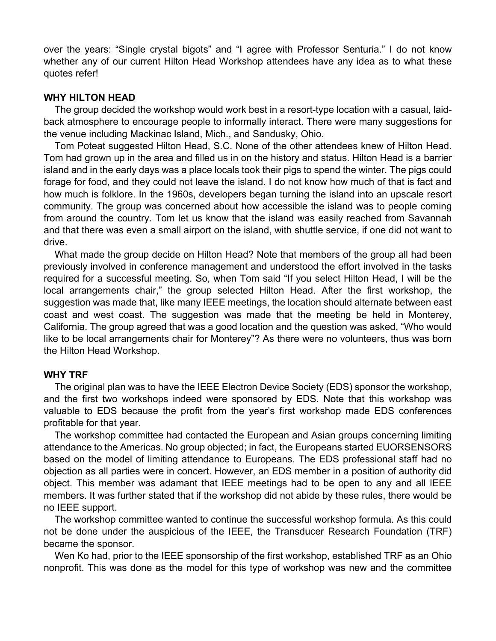over the years: "Single crystal bigots" and "I agree with Professor Senturia." I do not know whether any of our current Hilton Head Workshop attendees have any idea as to what these quotes refer!

## **WHY HILTON HEAD**

The group decided the workshop would work best in a resort-type location with a casual, laidback atmosphere to encourage people to informally interact. There were many suggestions for the venue including Mackinac Island, Mich., and Sandusky, Ohio.

Tom Poteat suggested Hilton Head, S.C. None of the other attendees knew of Hilton Head. Tom had grown up in the area and filled us in on the history and status. Hilton Head is a barrier island and in the early days was a place locals took their pigs to spend the winter. The pigs could forage for food, and they could not leave the island. I do not know how much of that is fact and how much is folklore. In the 1960s, developers began turning the island into an upscale resort community. The group was concerned about how accessible the island was to people coming from around the country. Tom let us know that the island was easily reached from Savannah and that there was even a small airport on the island, with shuttle service, if one did not want to drive.

What made the group decide on Hilton Head? Note that members of the group all had been previously involved in conference management and understood the effort involved in the tasks required for a successful meeting. So, when Tom said "If you select Hilton Head, I will be the local arrangements chair," the group selected Hilton Head. After the first workshop, the suggestion was made that, like many IEEE meetings, the location should alternate between east coast and west coast. The suggestion was made that the meeting be held in Monterey, California. The group agreed that was a good location and the question was asked, "Who would like to be local arrangements chair for Monterey"? As there were no volunteers, thus was born the Hilton Head Workshop.

#### **WHY TRF**

The original plan was to have the IEEE Electron Device Society (EDS) sponsor the workshop, and the first two workshops indeed were sponsored by EDS. Note that this workshop was valuable to EDS because the profit from the year's first workshop made EDS conferences profitable for that year.

The workshop committee had contacted the European and Asian groups concerning limiting attendance to the Americas. No group objected; in fact, the Europeans started EUORSENSORS based on the model of limiting attendance to Europeans. The EDS professional staff had no objection as all parties were in concert. However, an EDS member in a position of authority did object. This member was adamant that IEEE meetings had to be open to any and all IEEE members. It was further stated that if the workshop did not abide by these rules, there would be no IEEE support.

The workshop committee wanted to continue the successful workshop formula. As this could not be done under the auspicious of the IEEE, the Transducer Research Foundation (TRF) became the sponsor.

Wen Ko had, prior to the IEEE sponsorship of the first workshop, established TRF as an Ohio nonprofit. This was done as the model for this type of workshop was new and the committee